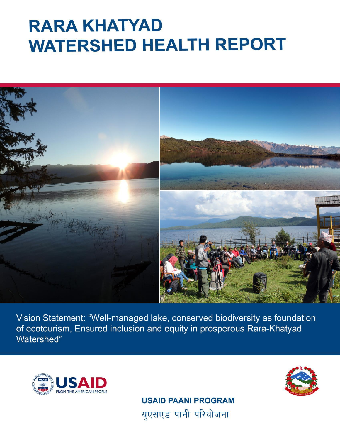# **RARA KHATYAD WATERSHED HEALTH REPORT**



Vision Statement: "Well-managed lake, conserved biodiversity as foundation of ecotourism, Ensured inclusion and equity in prosperous Rara-Khatyad Watershed"





**USAID PAANI PROGRAM** युएसएड पानी परियोजना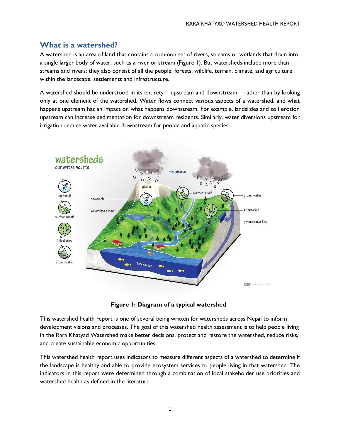### **What is a watershed?**

A watershed is an area of land that contains a common set of rivers, streams or wetlands that drain into a single larger body of water, such as a river or stream (Figure 1). But watersheds include more than streams and rivers; they also consist of all the people, forests, wildlife, terrain, climate, and agriculture within the landscape, settlements and infrastructure.

A watershed should be understood in its entirety – upstream and downstream – rather than by looking only at one element of the watershed. Water flows connect various aspects of a watershed, and what happens upstream has an impact on what happens downstream. For example, landslides and soil erosion upstream can increase sedimentation for downstream residents. Similarly, water diversions upstream for irrigation reduce water available downstream for people and aquatic species.





This watershed health report is one of several being written for watersheds across Nepal to inform development visions and processes. The goal of this watershed health assessment is to help people living in the Rara Khatyad Watershed make better decisions, protect and restore the watershed, reduce risks, and create sustainable economic opportunities.

This watershed health report uses indicators to measure different aspects of a watershed to determine if the landscape is healthy and able to provide ecosystem services to people living in that watershed. The indicators in this report were determined through a combination of local stakeholder use priorities and watershed health as defined in the literature.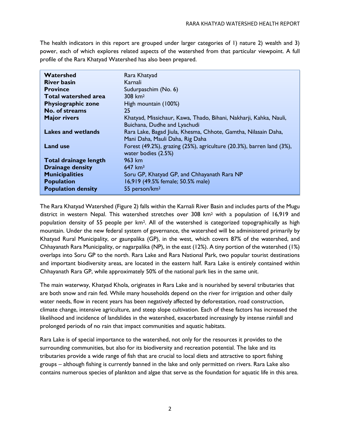The health indicators in this report are grouped under larger categories of 1) nature 2) wealth and 3) power, each of which explores related aspects of the watershed from that particular viewpoint. A full profile of the Rara Khatyad Watershed has also been prepared.

| Watershed                   | Rara Khatyad                                                                                 |
|-----------------------------|----------------------------------------------------------------------------------------------|
| <b>River basin</b>          | Karnali                                                                                      |
| <b>Province</b>             | Sudurpaschim (No. 6)                                                                         |
| <b>Total watershed area</b> | $308 \; \mathrm{km^2}$                                                                       |
| <b>Physiographic zone</b>   | High mountain (100%)                                                                         |
| No. of streams              | 25                                                                                           |
| <b>Major rivers</b>         | Khatyad, Missichaur, Kawa, Thado, Bihani, Nakharji, Kahka, Nauli,                            |
|                             | Buichana, Dudhe and Lyachudi                                                                 |
| Lakes and wetlands          | Rara Lake, Bagad Jiula, Khesma, Chhote, Gamtha, Nilasain Daha,                               |
|                             | Mani Daha, Mauli Daha, Rig Daha                                                              |
| <b>Land use</b>             | Forest (49.2%), grazing (25%), agriculture (20.3%), barren land (3%),<br>water bodies (2.5%) |
| Total drainage length       | 963 km                                                                                       |
| <b>Drainage density</b>     | $647 \text{ km}^3$                                                                           |
| <b>Municipalities</b>       | Soru GP, Khatyad GP, and Chhayanath Rara NP                                                  |
| <b>Population</b>           | 16,919 (49.5% female; 50.5% male)                                                            |
| <b>Population density</b>   | 55 person/km <sup>2</sup>                                                                    |
|                             |                                                                                              |

The Rara Khatyad Watershed (Figure 2) falls within the Karnali River Basin and includes parts of the Mugu district in western Nepal. This watershed stretches over 308 km<sup>2</sup> with a population of 16,919 and population density of 55 people per km2. All of the watershed is categorized topographically as high mountain. Under the new federal system of governance, the watershed will be administered primarily by Khatyad Rural Municipality, or gaunpalika (GP), in the west, which covers 87% of the watershed, and Chhayanath Rara Municipality, or nagarpalika (NP), in the east (12%). A tiny portion of the watershed (1%) overlaps into Soru GP to the north. Rara Lake and Rara National Park, two popular tourist destinations and important biodiversity areas, are located in the eastern half. Rara Lake is entirely contained within Chhayanath Rara GP, while approximately 50% of the national park lies in the same unit.

The main waterway, Khatyad Khola, originates in Rara Lake and is nourished by several tributaries that are both snow and rain fed. While many households depend on the river for irrigation and other daily water needs, flow in recent years has been negatively affected by deforestation, road construction, climate change, intensive agriculture, and steep slope cultivation. Each of these factors has increased the likelihood and incidence of landslides in the watershed, exacerbated increasingly by intense rainfall and prolonged periods of no rain that impact communities and aquatic habitats.

Rara Lake is of special importance to the watershed, not only for the resources it provides to the surrounding communities, but also for its biodiversity and recreation potential. The lake and its tributaries provide a wide range of fish that are crucial to local diets and attractive to sport fishing groups – although fishing is currently banned in the lake and only permitted on rivers. Rara Lake also contains numerous species of plankton and algae that serve as the foundation for aquatic life in this area.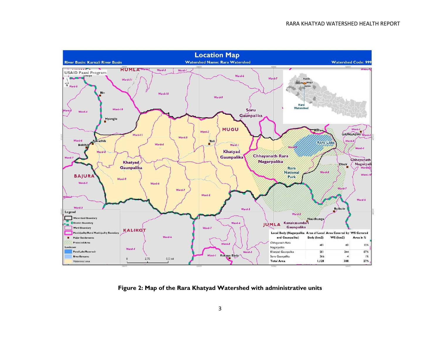

**Figure 2: Map of the Rara Khatyad Watershed with administrative units**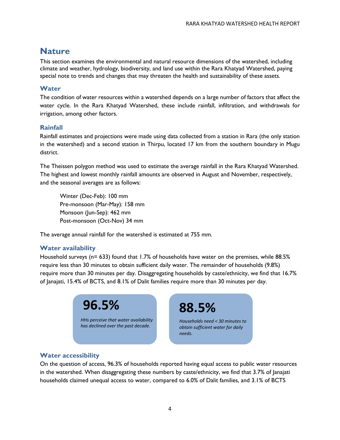## **Nature**

This section examines the environmental and natural resource dimensions of the watershed, including climate and weather, hydrology, biodiversity, and land use within the Rara Khatyad Watershed, paying special note to trends and changes that may threaten the health and sustainability of these assets.

#### **Water**

The condition of water resources within a watershed depends on a large number of factors that affect the water cycle. In the Rara Khatyad Watershed, these include rainfall, infiltration, and withdrawals for irrigation, among other factors.

#### **Rainfall**

Rainfall estimates and projections were made using data collected from a station in Rara (the only station in the watershed) and a second station in Thirpu, located 17 km from the southern boundary in Mugu district.

The Theissen polygon method was used to estimate the average rainfall in the Rara Khatyad Watershed. The highest and lowest monthly rainfall amounts are observed in August and November, respectively, and the seasonal averages are as follows:

Winter (Dec-Feb): 100 mm Pre-monsoon (Mar-May): 158 mm Monsoon (Jun-Sep): 462 mm Post-monsoon (Oct-Nov) 34 mm

The average annual rainfall for the watershed is estimated at 755 mm.

#### **Water availability**

Household surveys (n= 633) found that 1.7% of households have water on the premises, while 88.5% require less than 30 minutes to obtain sufficient daily water. The remainder of households (9.8%) require more than 30 minutes per day. Disaggregating households by caste/ethnicity, we find that 16.7% of Janajati, 15.4% of BCTS, and 8.1% of Dalit families require more than 30 minutes per day.



**88.5%**

*Households need < 30 minutes to obtain sufficient water for daily needs.*

#### **Water accessibility**

On the question of access, 96.3% of households reported having equal access to public water resources in the watershed. When disaggregating these numbers by caste/ethnicity, we find that 3.7% of Janajati households claimed unequal access to water, compared to 6.0% of Dalit families, and 3.1% of BCTS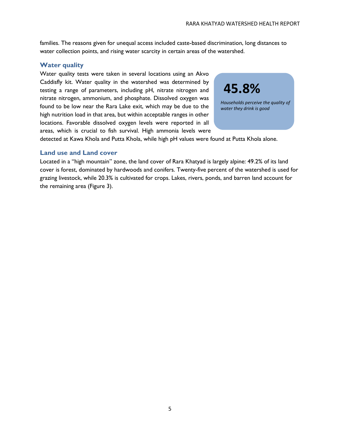families. The reasons given for unequal access included caste-based discrimination, long distances to water collection points, and rising water scarcity in certain areas of the watershed.

#### **Water quality**

Water quality tests were taken in several locations using an Akvo Caddisfly kit. Water quality in the watershed was determined by testing a range of parameters, including pH, nitrate nitrogen and nitrate nitrogen, ammonium, and phosphate. Dissolved oxygen was found to be low near the Rara Lake exit, which may be due to the high nutrition load in that area, but within acceptable ranges in other locations. Favorable dissolved oxygen levels were reported in all areas, which is crucial to fish survival. High ammonia levels were



*Households perceive the quality of water they drink is good*

detected at Kawa Khola and Putta Khola, while high pH values were found at Putta Khola alone.

#### **Land use and Land cover**

Located in a "high mountain" zone, the land cover of Rara Khatyad is largely alpine: 49.2% of its land cover is forest, dominated by hardwoods and conifers. Twenty-five percent of the watershed is used for grazing livestock, while 20.3% is cultivated for crops. Lakes, rivers, ponds, and barren land account for the remaining area (Figure 3).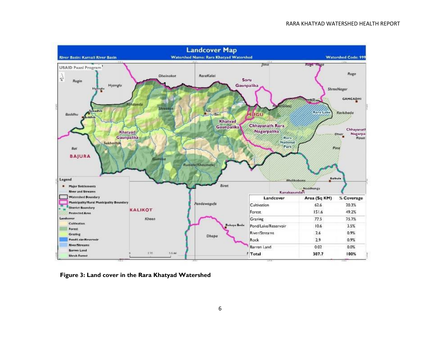

**Figure 3: Land cover in the Rara Khatyad Watershed**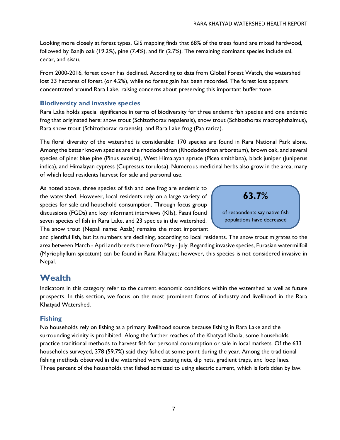Looking more closely at forest types, GIS mapping finds that 68% of the trees found are mixed hardwood, followed by Banjh oak (19.2%), pine (7.4%), and fir (2.7%). The remaining dominant species include sal, cedar, and sisau.

From 2000-2016, forest cover has declined. According to data from Global Forest Watch, the watershed lost 33 hectares of forest (or 4.2%), while no forest gain has been recorded. The forest loss appears concentrated around Rara Lake, raising concerns about preserving this important buffer zone.

#### **Biodiversity and invasive species**

Rara Lake holds special significance in terms of biodiversity for three endemic fish species and one endemic frog that originated here: snow trout (Schizothorax nepalensis), snow trout (Schizothorax macrophthalmus), Rara snow trout (Schizothorax raraensis), and Rara Lake frog (Paa rarica).

The floral diversity of the watershed is considerable: 170 species are found in Rara National Park alone. Among the better known species are the rhododendron (Rhododendron arboretum), brow[n oak,](https://en.wikipedia.org/wiki/Cerris) and several species of pine: [blue pine](https://en.wikipedia.org/wiki/Pinus_wallichiana) (Pinus excelsa), [West Himalayan spruce](https://en.wikipedia.org/wiki/Morinda_Spruce) (Picea smithiana), [black juniper](https://en.wikipedia.org/wiki/Juniperus_indica) (Juniperus indica), and [Himalayan cypress](https://en.wikipedia.org/wiki/Cupressus_torulosa) (Cupressus torulosa). Numerous medicinal herbs also grow in the area, many of which local residents harvest for sale and personal use.

As noted above, three species of fish and one frog are endemic to the watershed. However, local residents rely on a large variety of species for sale and household consumption. Through focus group discussions (FGDs) and key informant interviews (KIIs), Paani found seven species of fish in Rara Lake, and 23 species in the watershed. The snow trout (Nepali name: Asala) remains the most important

**63.7%**

of respondents say native fish populations have decreased

and plentiful fish, but its numbers are declining, according to local residents. The snow trout migrates to the area between March - April and breeds there from May - July. Regarding invasive species, Eurasian watermilfoil (Myriophyllum spicatum) can be found in Rara Khatyad; however, this species is not considered invasive in Nepal.

# **Wealth**

Indicators in this category refer to the current economic conditions within the watershed as well as future prospects. In this section, we focus on the most prominent forms of industry and livelihood in the Rara Khatyad Watershed.

#### **Fishing**

No households rely on fishing as a primary livelihood source because fishing in Rara Lake and the surrounding vicinity is prohibited. Along the further reaches of the Khatyad Khola, some households practice traditional methods to harvest fish for personal consumption or sale in local markets. Of the 633 households surveyed, 378 (59.7%) said they fished at some point during the year. Among the traditional fishing methods observed in the watershed were casting nets, dip nets, gradient traps, and loop lines. Three percent of the households that fished admitted to using electric current, which is forbidden by law.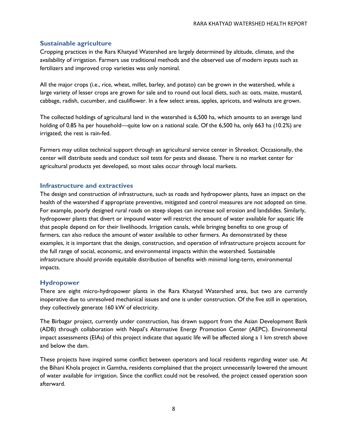#### **Sustainable agriculture**

Cropping practices in the Rara Khatyad Watershed are largely determined by altitude, climate, and the availability of irrigation. Farmers use traditional methods and the observed use of modern inputs such as fertilizers and improved crop varieties was only nominal.

All the major crops (i.e., rice, wheat, millet, barley, and potato) can be grown in the watershed, while a large variety of lesser crops are grown for sale and to round out local diets, such as: oats, maize, mustard, cabbage, radish, cucumber, and cauliflower. In a few select areas, apples, apricots, and walnuts are grown.

The collected holdings of agricultural land in the watershed is 6,500 ha, which amounts to an average land holding of 0.85 ha per household—quite low on a national scale. Of the 6,500 ha, only 663 ha (10.2%) are irrigated; the rest is rain-fed.

Farmers may utilize technical support through an agricultural service center in Shreekot. Occasionally, the center will distribute seeds and conduct soil tests for pests and disease. There is no market center for agricultural products yet developed, so most sales occur through local markets.

#### **Infrastructure and extractives**

The design and construction of infrastructure, such as roads and hydropower plants, have an impact on the health of the watershed if appropriate preventive, mitigated and control measures are not adopted on time. For example, poorly designed rural roads on steep slopes can increase soil erosion and landslides. Similarly, hydropower plants that divert or impound water will restrict the amount of water available for aquatic life that people depend on for their livelihoods. Irrigation canals, while bringing benefits to one group of farmers, can also reduce the amount of water available to other farmers. As demonstrated by these examples, it is important that the design, construction, and operation of infrastructure projects account for the full range of social, economic, and environmental impacts within the watershed. Sustainable infrastructure should provide equitable distribution of benefits with minimal long-term, environmental impacts.

#### **Hydropower**

There are eight micro-hydropower plants in the Rara Khatyad Watershed area, but two are currently inoperative due to unresolved mechanical issues and one is under construction. Of the five still in operation, they collectively generate 160 kW of electricity.

The Birbagar project, currently under construction, has drawn support from the Asian Development Bank (ADB) through collaboration with Nepal's Alternative Energy Promotion Center (AEPC). Environmental impact assessments (EIAs) of this project indicate that aquatic life will be affected along a 1 km stretch above and below the dam.

These projects have inspired some conflict between operators and local residents regarding water use. At the Bihani Khola project in Gamtha, residents complained that the project unnecessarily lowered the amount of water available for irrigation. Since the conflict could not be resolved, the project ceased operation soon afterward.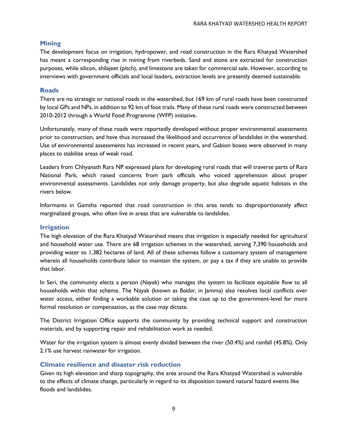#### **Mining**

The development focus on irrigation, hydropower, and road construction in the Rara Khatyad Watershed has meant a corresponding rise in mining from riverbeds. Sand and stone are extracted for construction purposes, while silicon, shilajeet (pitch), and limestone are taken for commercial sale. However, according to interviews with government officials and local leaders, extraction levels are presently deemed sustainable.

#### **Roads**

There are no strategic or national roads in the watershed, but 169 km of rural roads have been constructed by local GPs and NPs, in addition to 92 km of foot trails. Many of these rural roads were constructed between 2010-2012 through a World Food Programme (WFP) initiative.

Unfortunately, many of these roads were reportedly developed without proper environmental assessments prior to construction, and have thus increased the likelihood and occurrence of landslides in the watershed. Use of environmental assessments has increased in recent years, and Gabion boxes were observed in many places to stabilize areas of weak road.

Leaders from Chhyanath Rara NP expressed plans for developing rural roads that will traverse parts of Rara National Park, which raised concerns from park officials who voiced apprehension about proper environmental assessments. Landslides not only damage property, but also degrade aquatic habitats in the rivers below.

Informants in Gamtha reported that road construction in this area tends to disproportionately affect marginalized groups, who often live in areas that are vulnerable to landslides.

#### **Irrigation**

The high elevation of the Rara Khatyad Watershed means that irrigation is especially needed for agricultural and household water use. There are 68 irrigation schemes in the watershed, serving 7,390 households and providing water to 1,382 hectares of land. All of these schemes follow a customary system of management wherein all households contribute labor to maintain the system, or pay a tax if they are unable to provide that labor.

In Seri, the community elects a person (*Nayak*) who manages the system to facilitate equitable flow to all households within that scheme. The Nayak (known as *Baidar*, in Jamma) also resolves local conflicts over water access, either finding a workable solution or taking the case up to the government-level for more formal resolution or compensation, as the case may dictate.

The District Irrigation Office supports the community by providing technical support and construction materials, and by supporting repair and rehabilitation work as needed.

Water for the irrigation system is almost evenly divided between the river (50.4%) and rainfall (45.8%). Only 2.1% use harvest rainwater for irrigation.

#### **Climate resilience and disaster risk reduction**

Given its high elevation and sharp topography, the area around the Rara Khatyad Watershed is vulnerable to the effects of climate change, particularly in regard to its disposition toward natural hazard events like floods and landslides.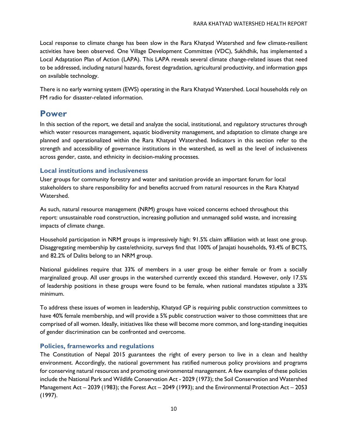Local response to climate change has been slow in the Rara Khatyad Watershed and few climate-resilient activities have been observed. One Village Development Committee (VDC), Sukhdhik, has implemented a Local Adaptation Plan of Action (LAPA). This LAPA reveals several climate change-related issues that need to be addressed, including natural hazards, forest degradation, agricultural productivity, and information gaps on available technology.

There is no early warning system (EWS) operating in the Rara Khatyad Watershed. Local households rely on FM radio for disaster-related information.

## **Power**

In this section of the report, we detail and analyze the social, institutional, and regulatory structures through which water resources management, aquatic biodiversity management, and adaptation to climate change are planned and operationalized within the Rara Khatyad Watershed. Indicators in this section refer to the strength and accessibility of governance institutions in the watershed, as well as the level of inclusiveness across gender, caste, and ethnicity in decision-making processes.

#### **Local institutions and inclusiveness**

User groups for community forestry and water and sanitation provide an important forum for local stakeholders to share responsibility for and benefits accrued from natural resources in the Rara Khatyad Watershed.

As such, natural resource management (NRM) groups have voiced concerns echoed throughout this report: unsustainable road construction, increasing pollution and unmanaged solid waste, and increasing impacts of climate change.

Household participation in NRM groups is impressively high: 91.5% claim affiliation with at least one group. Disaggregating membership by caste/ethnicity, surveys find that 100% of Janajati households, 93.4% of BCTS, and 82.2% of Dalits belong to an NRM group.

National guidelines require that 33% of members in a user group be either female or from a socially marginalized group. All user groups in the watershed currently exceed this standard. However, only 17.5% of leadership positions in these groups were found to be female, when national mandates stipulate a 33% minimum.

To address these issues of women in leadership, Khatyad GP is requiring public construction committees to have 40% female membership, and will provide a 5% public construction waiver to those committees that are comprised of all women. Ideally, initiatives like these will become more common, and long-standing inequities of gender discrimination can be confronted and overcome.

#### **Policies, frameworks and regulations**

The Constitution of Nepal 2015 guarantees the right of every person to live in a clean and healthy environment. Accordingly, the national government has ratified numerous policy provisions and programs for conserving natural resources and promoting environmental management. A few examples of these policies include the National Park and Wildlife Conservation Act - 2029 (1973); the Soil Conservation and Watershed Management Act – 2039 (1983); the Forest Act – 2049 (1993); and the Environmental Protection Act – 2053 (1997).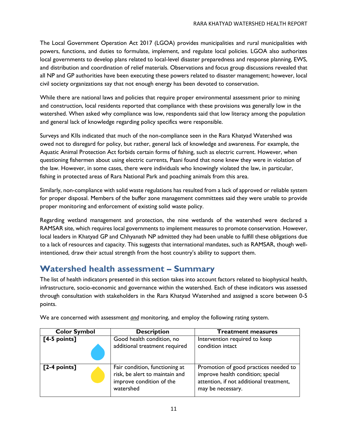The Local Government Operation Act 2017 (LGOA) provides municipalities and rural municipalities with powers, functions, and duties to formulate, implement, and regulate local policies. LGOA also authorizes local governments to develop plans related to local-level disaster preparedness and response planning, EWS, and distribution and coordination of relief materials. Observations and focus group discussions revealed that all NP and GP authorities have been executing these powers related to disaster management; however, local civil society organizations say that not enough energy has been devoted to conservation.

While there are national laws and policies that require proper environmental assessment prior to mining and construction, local residents reported that compliance with these provisions was generally low in the watershed. When asked why compliance was low, respondents said that low literacy among the population and general lack of knowledge regarding policy specifics were responsible.

Surveys and KIIs indicated that much of the non-compliance seen in the Rara Khatyad Watershed was owed not to disregard for policy, but rather, general lack of knowledge and awareness. For example, the Aquatic Animal Protection Act forbids certain forms of fishing, such as electric current. However, when questioning fishermen about using electric currents, Paani found that none knew they were in violation of the law. However, in some cases, there were individuals who knowingly violated the law, in particular, fishing in protected areas of Rara National Park and poaching animals from this area.

Similarly, non-compliance with solid waste regulations has resulted from a lack of approved or reliable system for proper disposal. Members of the buffer zone management committees said they were unable to provide proper monitoring and enforcement of existing solid waste policy.

Regarding wetland management and protection, the nine wetlands of the watershed were declared a RAMSAR site, which requires local governments to implement measures to promote conservation. However, local leaders in Khatyad GP and Chhyanath NP admitted they had been unable to fulfill these obligations due to a lack of resources and capacity. This suggests that international mandates, such as RAMSAR, though wellintentioned, draw their actual strength from the host country's ability to support them.

## **Watershed health assessment – Summary**

The list of health indicators presented in this section takes into account factors related to biophysical health, infrastructure, socio-economic and governance within the watershed. Each of these indicators was assessed through consultation with stakeholders in the Rara Khatyad Watershed and assigned a score between 0-5 points.

| <b>Color Symbol</b> | <b>Description</b>                                                                                        | <b>Treatment measures</b>                                                                                                                  |
|---------------------|-----------------------------------------------------------------------------------------------------------|--------------------------------------------------------------------------------------------------------------------------------------------|
| $[4-5$ points]      | Good health condition, no<br>additional treatment required                                                | Intervention required to keep<br>condition intact                                                                                          |
| $[2-4$ points]      | Fair condition, functioning at<br>risk, be alert to maintain and<br>improve condition of the<br>watershed | Promotion of good practices needed to<br>improve health condition; special<br>attention, if not additional treatment,<br>may be necessary. |

We are concerned with assessment *and* monitoring, and employ the following rating system.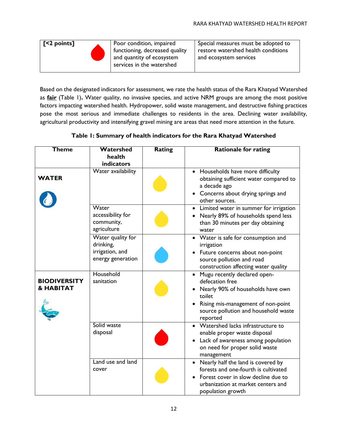

Based on the designated indicators for assessment, we rate the health status of the Rara Khatyad Watershed as **fair** (Table 1)**.** Water quality, no invasive species, and active NRM groups are among the most positive factors impacting watershed health. Hydropower, solid waste management, and destructive fishing practices pose the most serious and immediate challenges to residents in the area. Declining water availability, agricultural productivity and intensifying gravel mining are areas that need more attention in the future.

**Table 1: Summary of health indicators for the Rara Khatyad Watershed**

| <b>Theme</b>                                | Watershed                                                              | <b>Rating</b> | <b>Rationale for rating</b>                                                                                                                                                                           |
|---------------------------------------------|------------------------------------------------------------------------|---------------|-------------------------------------------------------------------------------------------------------------------------------------------------------------------------------------------------------|
|                                             | health                                                                 |               |                                                                                                                                                                                                       |
|                                             | <b>indicators</b>                                                      |               |                                                                                                                                                                                                       |
| <b>WATER</b>                                | Water availability                                                     |               | • Households have more difficulty<br>obtaining sufficient water compared to<br>a decade ago<br>• Concerns about drying springs and<br>other sources.                                                  |
|                                             | Water<br>accessibility for<br>community,<br>agriculture                |               | • Limited water in summer for irrigation<br>Nearly 89% of households spend less<br>than 30 minutes per day obtaining<br>water                                                                         |
|                                             | Water quality for<br>drinking,<br>irrigation, and<br>energy generation |               | • Water is safe for consumption and<br>irrigation<br>Future concerns about non-point<br>source pollution and road<br>construction affecting water quality                                             |
| <b>BIODIVERSITY</b><br><b>&amp; HABITAT</b> | Household<br>sanitation                                                |               | Mugu recently declared open-<br>$\bullet$<br>defecation free<br>Nearly 90% of households have own<br>toilet<br>Rising mis-management of non-point<br>source pollution and household waste<br>reported |
|                                             | Solid waste<br>disposal                                                |               | • Watershed lacks infrastructure to<br>enable proper waste disposal<br>Lack of awareness among population<br>on need for proper solid waste<br>management                                             |
|                                             | Land use and land<br>cover                                             |               | Nearly half the land is covered by<br>forests and one-fourth is cultivated<br>Forest cover in slow decline due to<br>urbanization at market centers and<br>population growth                          |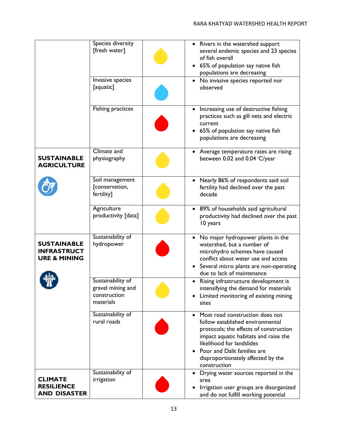|                                                                     | Species diversity<br>[fresh water]<br>Invasive species              | • Rivers in the watershed support<br>several endemic species and 23 species<br>of fish overall<br>65% of population say native fish<br>populations are decreasing<br>• No invasive species reported nor                                                                    |
|---------------------------------------------------------------------|---------------------------------------------------------------------|----------------------------------------------------------------------------------------------------------------------------------------------------------------------------------------------------------------------------------------------------------------------------|
|                                                                     | [aquatic]                                                           | observed                                                                                                                                                                                                                                                                   |
|                                                                     | <b>Fishing practices</b>                                            | Increasing use of destructive fishing<br>practices such as gill nets and electric<br>current<br>65% of population say native fish<br>populations are decreasing                                                                                                            |
| <b>SUSTAINABLE</b><br><b>AGRICULTURE</b>                            | Climate and<br>physiography                                         | • Average temperature rates are rising<br>between 0.02 and 0.04 °C/year                                                                                                                                                                                                    |
|                                                                     | Soil management<br>[conservation,<br>fertility]                     | Nearly 86% of respondents said soil<br>fertility had declined over the past<br>decade                                                                                                                                                                                      |
|                                                                     | Agriculture<br>productivity [data]                                  | 89% of households said agricultural<br>productivity had declined over the past<br>10 years                                                                                                                                                                                 |
| <b>SUSTAINABLE</b><br><b>INFRASTRUCT</b><br><b>URE &amp; MINING</b> | Sustainability of<br>hydropower                                     | • No major hydropower plants in the<br>watershed, but a number of<br>microhydro schemes have caused<br>conflict about water use and access<br>• Several micro plants are non-operating<br>due to lack of maintenance                                                       |
|                                                                     | Sustainability of<br>gravel mining and<br>construction<br>materials | Rising infrastructure development is<br>intensifying the demand for materials<br>Limited monitoring of existing mining<br>sites                                                                                                                                            |
|                                                                     | Sustainability of<br>rural roads                                    | • Most road construction does not<br>follow established environmental<br>protocols; the effects of construction<br>impact aquatic habitats and raise the<br>likelihood for landslides<br>Poor and Dalit families are<br>disproportionately affected by the<br>construction |
| <b>CLIMATE</b><br><b>RESILIENCE</b><br><b>AND DISASTER</b>          | Sustainability of<br>irrigation                                     | Drying water sources reported in the<br>٠<br>area<br>Irrigation user groups are disorganized<br>and do not fulfill working potential                                                                                                                                       |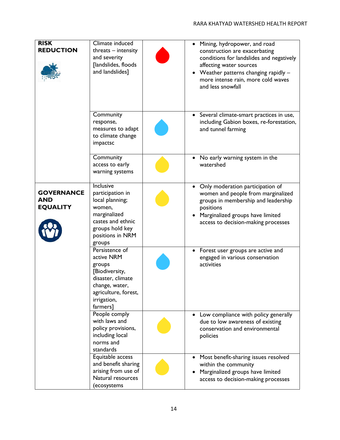| <b>RISK</b><br><b>REDUCTION</b>                    | Climate induced<br>$threads - intensity$<br>and severity<br>[landslides, floods<br>and landslides]                                                 | Mining, hydropower, and road<br>construction are exacerbating<br>conditions for landslides and negatively<br>affecting water sources<br>Weather patterns changing rapidly -<br>more intense rain, more cold waves<br>and less snowfall |
|----------------------------------------------------|----------------------------------------------------------------------------------------------------------------------------------------------------|----------------------------------------------------------------------------------------------------------------------------------------------------------------------------------------------------------------------------------------|
|                                                    | Community<br>response,<br>measures to adapt<br>to climate change<br>impactsc                                                                       | Several climate-smart practices in use,<br>$\bullet$<br>including Gabion boxes, re-forestation,<br>and tunnel farming                                                                                                                  |
|                                                    | Community<br>access to early<br>warning systems                                                                                                    | No early warning system in the<br>watershed                                                                                                                                                                                            |
| <b>GOVERNANCE</b><br><b>AND</b><br><b>EQUALITY</b> | Inclusive<br>participation in<br>local planning;<br>women,<br>marginalized<br>castes and ethnic<br>groups hold key<br>positions in NRM<br>groups   | Only moderation participation of<br>women and people from marginalized<br>groups in membership and leadership<br>positions<br>Marginalized groups have limited<br>access to decision-making processes                                  |
|                                                    | Persistence of<br>active NRM<br>groups<br>[Biodiversity,<br>disaster, climate<br>change, water,<br>agriculture, forest,<br>irrigation,<br>farmers] | Forest user groups are active and<br>engaged in various conservation<br>activities                                                                                                                                                     |
|                                                    | People comply<br>with laws and<br>policy provisions,<br>including local<br>norms and<br>standards                                                  | Low compliance with policy generally<br>due to low awareness of existing<br>conservation and environmental<br>policies                                                                                                                 |
|                                                    | Equitable access<br>and benefit sharing<br>arising from use of<br>Natural resources<br>(ecosystems                                                 | Most benefit-sharing issues resolved<br>within the community<br>Marginalized groups have limited<br>access to decision-making processes                                                                                                |